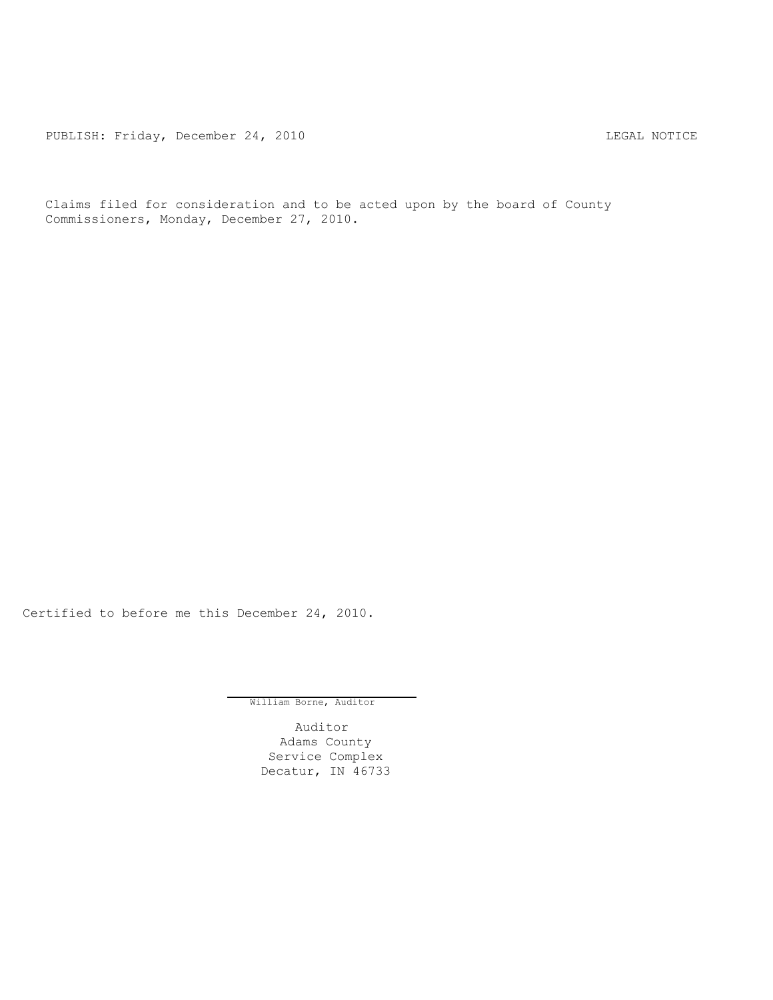PUBLISH: Friday, December 24, 2010 CHA CHARL MOTICE

Claims filed for consideration and to be acted upon by the board of County Commissioners, Monday, December 27, 2010.

Certified to before me this December 24, 2010.

William Borne, Auditor

Auditor Adams County Service Complex Decatur, IN 46733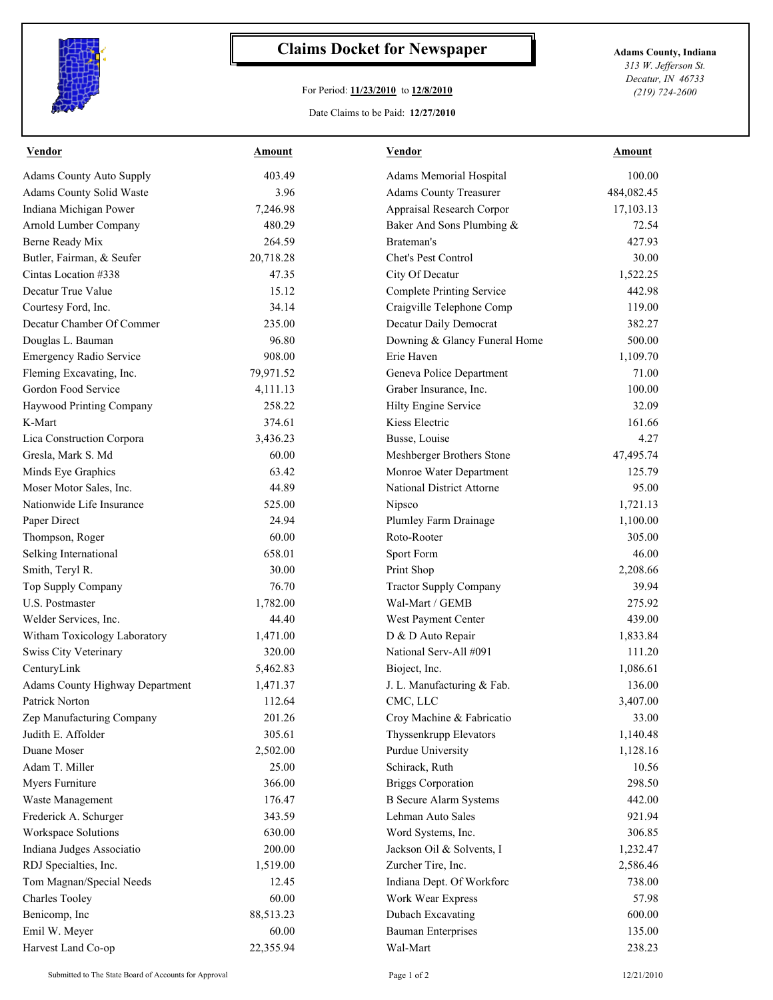

## **Claims Docket for Newspaper Adams County, Indiana**

## For Period: **11/23/2010** to **12/8/2010**

*313 W. Jefferson St. Decatur, IN 46733 (219) 724-2600*

## Date Claims to be Paid: **12/27/2010**

| <b>Vendor</b>                   | Amount    | <b>Vendor</b>                    | Amount     |
|---------------------------------|-----------|----------------------------------|------------|
| <b>Adams County Auto Supply</b> | 403.49    | Adams Memorial Hospital          | 100.00     |
| Adams County Solid Waste        | 3.96      | <b>Adams County Treasurer</b>    | 484,082.45 |
| Indiana Michigan Power          | 7,246.98  | Appraisal Research Corpor        | 17,103.13  |
| Arnold Lumber Company           | 480.29    | Baker And Sons Plumbing &        | 72.54      |
| Berne Ready Mix                 | 264.59    | Brateman's                       | 427.93     |
| Butler, Fairman, & Seufer       | 20,718.28 | Chet's Pest Control              | 30.00      |
| Cintas Location #338            | 47.35     | City Of Decatur                  | 1,522.25   |
| Decatur True Value              | 15.12     | <b>Complete Printing Service</b> | 442.98     |
| Courtesy Ford, Inc.             | 34.14     | Craigville Telephone Comp        | 119.00     |
| Decatur Chamber Of Commer       | 235.00    | Decatur Daily Democrat           | 382.27     |
| Douglas L. Bauman               | 96.80     | Downing & Glancy Funeral Home    | 500.00     |
| <b>Emergency Radio Service</b>  | 908.00    | Erie Haven                       | 1,109.70   |
| Fleming Excavating, Inc.        | 79,971.52 | Geneva Police Department         | 71.00      |
| Gordon Food Service             | 4,111.13  | Graber Insurance, Inc.           | 100.00     |
| Haywood Printing Company        | 258.22    | Hilty Engine Service             | 32.09      |
| K-Mart                          | 374.61    | Kiess Electric                   | 161.66     |
| Lica Construction Corpora       | 3,436.23  | Busse, Louise                    | 4.27       |
| Gresla, Mark S. Md              | 60.00     | Meshberger Brothers Stone        | 47,495.74  |
| Minds Eye Graphics              | 63.42     | Monroe Water Department          | 125.79     |
| Moser Motor Sales, Inc.         | 44.89     | National District Attorne        | 95.00      |
| Nationwide Life Insurance       | 525.00    | Nipsco                           | 1,721.13   |
| Paper Direct                    | 24.94     | Plumley Farm Drainage            | 1,100.00   |
| Thompson, Roger                 | 60.00     | Roto-Rooter                      | 305.00     |
| Selking International           | 658.01    | Sport Form                       | 46.00      |
| Smith, Teryl R.                 | 30.00     | Print Shop                       | 2,208.66   |
| Top Supply Company              | 76.70     | <b>Tractor Supply Company</b>    | 39.94      |
| U.S. Postmaster                 | 1,782.00  | Wal-Mart / GEMB                  | 275.92     |
| Welder Services, Inc.           | 44.40     | West Payment Center              | 439.00     |
| Witham Toxicology Laboratory    | 1,471.00  | D & D Auto Repair                | 1,833.84   |
| Swiss City Veterinary           | 320.00    | National Serv-All #091           | 111.20     |
| CenturyLink                     | 5,462.83  | Bioject, Inc.                    | 1,086.61   |
| Adams County Highway Department | 1,471.37  | J. L. Manufacturing & Fab.       | 136.00     |
| Patrick Norton                  | 112.64    | CMC. LLC                         | 3,407.00   |
| Zep Manufacturing Company       | 201.26    | Croy Machine & Fabricatio        | 33.00      |
| Judith E. Affolder              | 305.61    | Thyssenkrupp Elevators           | 1,140.48   |
| Duane Moser                     | 2,502.00  | Purdue University                | 1,128.16   |
| Adam T. Miller                  | 25.00     | Schirack, Ruth                   | 10.56      |
| Myers Furniture                 | 366.00    | <b>Briggs Corporation</b>        | 298.50     |
| Waste Management                | 176.47    | <b>B</b> Secure Alarm Systems    | 442.00     |
| Frederick A. Schurger           | 343.59    | Lehman Auto Sales                | 921.94     |
| Workspace Solutions             | 630.00    | Word Systems, Inc.               | 306.85     |
| Indiana Judges Associatio       | 200.00    | Jackson Oil & Solvents, I        | 1,232.47   |
| RDJ Specialties, Inc.           | 1,519.00  | Zurcher Tire, Inc.               | 2,586.46   |
| Tom Magnan/Special Needs        | 12.45     | Indiana Dept. Of Workforc        | 738.00     |
| Charles Tooley                  | 60.00     | Work Wear Express                | 57.98      |
| Benicomp, Inc                   | 88,513.23 | Dubach Excavating                | 600.00     |
| Emil W. Meyer                   | 60.00     | <b>Bauman Enterprises</b>        | 135.00     |
| Harvest Land Co-op              | 22,355.94 | Wal-Mart                         | 238.23     |